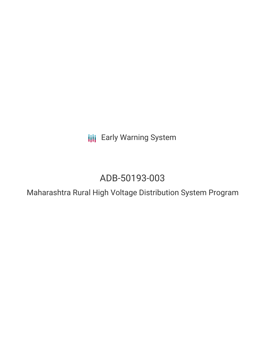**III** Early Warning System

# ADB-50193-003

Maharashtra Rural High Voltage Distribution System Program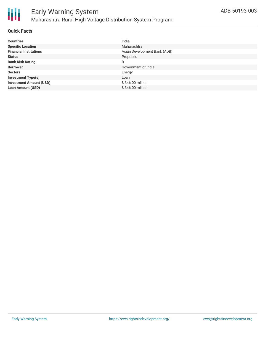

#### **Quick Facts**

| <b>Countries</b>               | India                        |
|--------------------------------|------------------------------|
| <b>Specific Location</b>       | Maharashtra                  |
| <b>Financial Institutions</b>  | Asian Development Bank (ADB) |
| <b>Status</b>                  | Proposed                     |
| <b>Bank Risk Rating</b>        | B                            |
| <b>Borrower</b>                | Government of India          |
| <b>Sectors</b>                 | Energy                       |
| <b>Investment Type(s)</b>      | Loan                         |
| <b>Investment Amount (USD)</b> | \$346.00 million             |
| <b>Loan Amount (USD)</b>       | \$346,00 million             |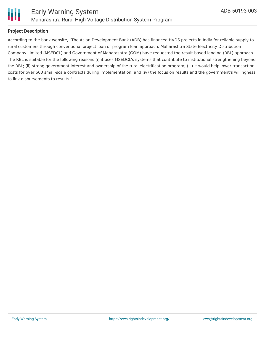

### **Project Description**

According to the bank website, "The Asian Development Bank (ADB) has financed HVDS projects in India for reliable supply to rural customers through conventional project loan or program loan approach. Maharashtra State Electricity Distribution Company Limited (MSEDCL) and Government of Maharashtra (GOM) have requested the result-based lending (RBL) approach. The RBL is suitable for the following reasons (i) it uses MSEDCL's systems that contribute to institutional strengthening beyond the RBL; (ii) strong government interest and ownership of the rural electrification program; (iii) it would help lower transaction costs for over 600 small-scale contracts during implementation; and (iv) the focus on results and the government's willingness to link disbursements to results."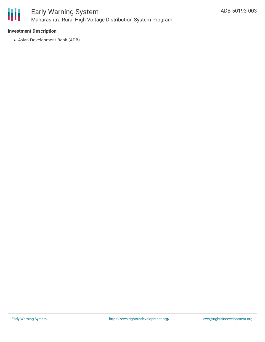

#### **Investment Description**

Asian Development Bank (ADB)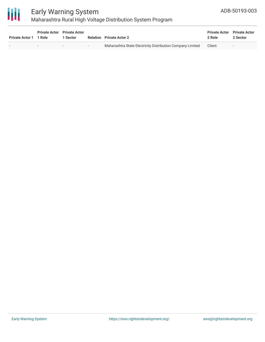

# Early Warning System Maharashtra Rural High Voltage Distribution System Program

| <b>Private Actor 1</b> | <b>Private Actor</b> Private Actor<br>1 Role | l Sector |        | <b>Relation</b> Private Actor 2                            | <b>Private Actor</b> Private Actor<br>2 Role | 2 Sector |
|------------------------|----------------------------------------------|----------|--------|------------------------------------------------------------|----------------------------------------------|----------|
|                        | $\overline{\phantom{0}}$                     |          | $\sim$ | Maharashtra State Electricity Distribution Company Limited | Client                                       | $\sim$   |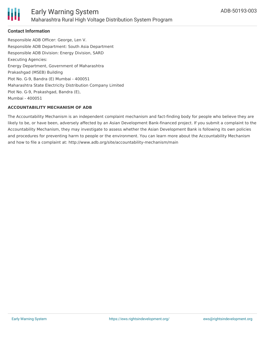

#### **Contact Information**

Responsible ADB Officer: George, Len V. Responsible ADB Department: South Asia Department Responsible ADB Division: Energy Division, SARD Executing Agencies: Energy Department, Government of Maharashtra Prakashgad (MSEB) Building Plot No. G-9, Bandra (E) Mumbai - 400051 Maharashtra State Electricity Distribution Company Limited Plot No. G-9, Prakashgad, Bandra (E), Mumbai - 400051

#### **ACCOUNTABILITY MECHANISM OF ADB**

The Accountability Mechanism is an independent complaint mechanism and fact-finding body for people who believe they are likely to be, or have been, adversely affected by an Asian Development Bank-financed project. If you submit a complaint to the Accountability Mechanism, they may investigate to assess whether the Asian Development Bank is following its own policies and procedures for preventing harm to people or the environment. You can learn more about the Accountability Mechanism and how to file a complaint at: http://www.adb.org/site/accountability-mechanism/main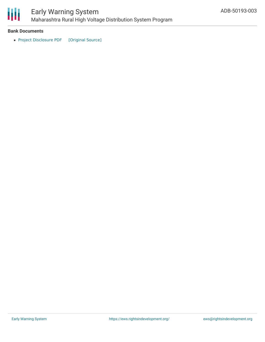

# Early Warning System Maharashtra Rural High Voltage Distribution System Program

#### **Bank Documents**

• Project [Disclosure](https://ewsdata.rightsindevelopment.org/files/documents/03/ADB-50193-003.pdf) PDF [\[Original](https://www.adb.org/printpdf/projects/50193-003/main) Source]